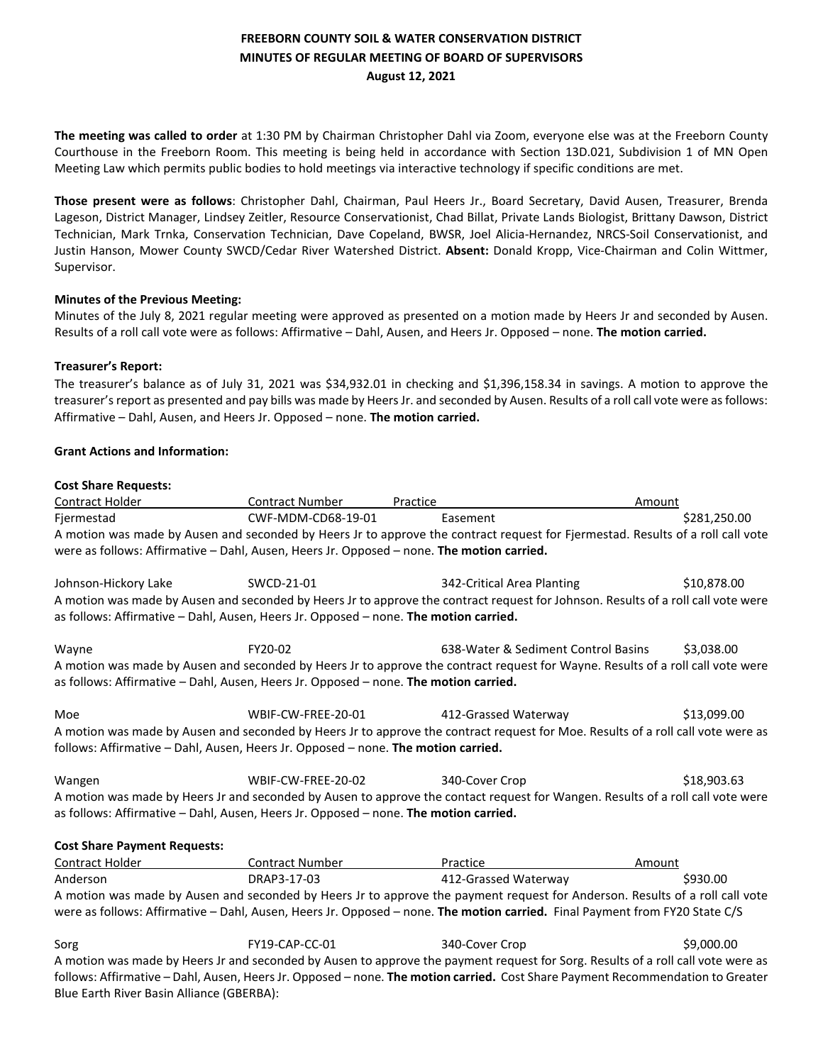# **FREEBORN COUNTY SOIL & WATER CONSERVATION DISTRICT MINUTES OF REGULAR MEETING OF BOARD OF SUPERVISORS August 12, 2021**

**The meeting was called to order** at 1:30 PM by Chairman Christopher Dahl via Zoom, everyone else was at the Freeborn County Courthouse in the Freeborn Room. This meeting is being held in accordance with Section 13D.021, Subdivision 1 of MN Open Meeting Law which permits public bodies to hold meetings via interactive technology if specific conditions are met.

**Those present were as follows**: Christopher Dahl, Chairman, Paul Heers Jr., Board Secretary, David Ausen, Treasurer, Brenda Lageson, District Manager, Lindsey Zeitler, Resource Conservationist, Chad Billat, Private Lands Biologist, Brittany Dawson, District Technician, Mark Trnka, Conservation Technician, Dave Copeland, BWSR, Joel Alicia-Hernandez, NRCS-Soil Conservationist, and Justin Hanson, Mower County SWCD/Cedar River Watershed District. **Absent:** Donald Kropp, Vice-Chairman and Colin Wittmer, Supervisor.

## **Minutes of the Previous Meeting:**

Minutes of the July 8, 2021 regular meeting were approved as presented on a motion made by Heers Jr and seconded by Ausen. Results of a roll call vote were as follows: Affirmative – Dahl, Ausen, and Heers Jr. Opposed – none. **The motion carried.** 

### **Treasurer's Report:**

The treasurer's balance as of July 31, 2021 was \$34,932.01 in checking and \$1,396,158.34 in savings. A motion to approve the treasurer's report as presented and pay bills was made by Heers Jr. and seconded by Ausen. Results of a roll call vote were as follows: Affirmative – Dahl, Ausen, and Heers Jr. Opposed – none. **The motion carried.** 

### **Grant Actions and Information:**

| <b>Cost Share Requests:</b>                                                                                                                                                                                               |                        |                                                                                                                                 |              |  |  |
|---------------------------------------------------------------------------------------------------------------------------------------------------------------------------------------------------------------------------|------------------------|---------------------------------------------------------------------------------------------------------------------------------|--------------|--|--|
| Contract Holder                                                                                                                                                                                                           | <b>Contract Number</b> | Practice                                                                                                                        | Amount       |  |  |
| Fjermestad                                                                                                                                                                                                                | CWF-MDM-CD68-19-01     | Easement                                                                                                                        | \$281,250.00 |  |  |
|                                                                                                                                                                                                                           |                        | A motion was made by Ausen and seconded by Heers Jr to approve the contract request for Fjermestad. Results of a roll call vote |              |  |  |
| were as follows: Affirmative - Dahl, Ausen, Heers Jr. Opposed - none. The motion carried.                                                                                                                                 |                        |                                                                                                                                 |              |  |  |
| Johnson-Hickory Lake                                                                                                                                                                                                      | SWCD-21-01             | 342-Critical Area Planting                                                                                                      | \$10,878.00  |  |  |
| A motion was made by Ausen and seconded by Heers Jr to approve the contract request for Johnson. Results of a roll call vote were<br>as follows: Affirmative - Dahl, Ausen, Heers Jr. Opposed - none. The motion carried. |                        |                                                                                                                                 |              |  |  |
| Wayne                                                                                                                                                                                                                     | FY20-02                | 638-Water & Sediment Control Basins                                                                                             | \$3,038.00   |  |  |
| A motion was made by Ausen and seconded by Heers Jr to approve the contract request for Wayne. Results of a roll call vote were                                                                                           |                        |                                                                                                                                 |              |  |  |
| as follows: Affirmative - Dahl, Ausen, Heers Jr. Opposed - none. The motion carried.                                                                                                                                      |                        |                                                                                                                                 |              |  |  |
| Moe                                                                                                                                                                                                                       | WBIF-CW-FREE-20-01     | 412-Grassed Waterway                                                                                                            | \$13,099.00  |  |  |
| A motion was made by Ausen and seconded by Heers Jr to approve the contract request for Moe. Results of a roll call vote were as                                                                                          |                        |                                                                                                                                 |              |  |  |
| follows: Affirmative - Dahl, Ausen, Heers Jr. Opposed - none. The motion carried.                                                                                                                                         |                        |                                                                                                                                 |              |  |  |
|                                                                                                                                                                                                                           | WBIF-CW-FREE-20-02     | 340-Cover Crop                                                                                                                  | \$18,903.63  |  |  |
| Wangen                                                                                                                                                                                                                    |                        |                                                                                                                                 |              |  |  |
| A motion was made by Heers Jr and seconded by Ausen to approve the contact request for Wangen. Results of a roll call vote were<br>as follows: Affirmative - Dahl, Ausen, Heers Jr. Opposed - none. The motion carried.   |                        |                                                                                                                                 |              |  |  |
| <b>Cost Share Payment Requests:</b>                                                                                                                                                                                       |                        |                                                                                                                                 |              |  |  |
| Contract Holder                                                                                                                                                                                                           | <b>Contract Number</b> | Practice                                                                                                                        | Amount       |  |  |
| Anderson                                                                                                                                                                                                                  | DRAP3-17-03            | 412-Grassed Waterway                                                                                                            | \$930.00     |  |  |
| A motion was made by Ausen and seconded by Heers Jr to approve the payment request for Anderson. Results of a roll call vote                                                                                              |                        |                                                                                                                                 |              |  |  |
| were as follows: Affirmative - Dahl, Ausen, Heers Jr. Opposed - none. The motion carried. Final Payment from FY20 State C/S                                                                                               |                        |                                                                                                                                 |              |  |  |
| Sorg                                                                                                                                                                                                                      | FY19-CAP-CC-01         | 340-Cover Crop                                                                                                                  | \$9,000.00   |  |  |
| A motion was made by Heers Jr and seconded by Ausen to approve the payment request for Sorg. Results of a roll call vote were as                                                                                          |                        |                                                                                                                                 |              |  |  |
| follows: Affirmative - Dahl, Ausen, Heers Jr. Opposed - none. The motion carried. Cost Share Payment Recommendation to Greater                                                                                            |                        |                                                                                                                                 |              |  |  |

Blue Earth River Basin Alliance (GBERBA):